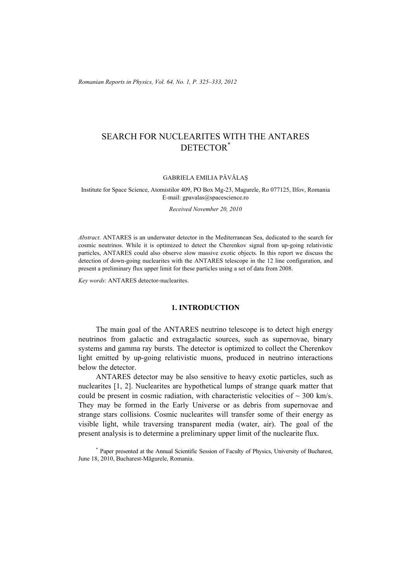*Romanian Reports in Physics, Vol. 64, No. 1, P. 325–333, 2012*

# SEARCH FOR NUCLEARITES WITH THE ANTARES DETECTOR\*

GABRIELA EMILIA PĂVĂLAŞ

Institute for Space Science, Atomistilor 409, PO Box Mg-23, Magurele, Ro 077125, Ilfov, Romania E-mail: gpavalas@spacescience.ro

*Received November 20, 2010* 

*Abstract*. ANTARES is an underwater detector in the Mediterranean Sea, dedicated to the search for cosmic neutrinos. While it is optimized to detect the Cherenkov signal from up-going relativistic particles, ANTARES could also observe slow massive exotic objects. In this report we discuss the detection of down-going nuclearites with the ANTARES telescope in the 12 line configuration, and present a preliminary flux upper limit for these particles using a set of data from 2008.

*Key words*: ANTARES detector-nuclearites.

### **1. INTRODUCTION**

The main goal of the ANTARES neutrino telescope is to detect high energy neutrinos from galactic and extragalactic sources, such as supernovae, binary systems and gamma ray bursts. The detector is optimized to collect the Cherenkov light emitted by up-going relativistic muons, produced in neutrino interactions below the detector.

 ANTARES detector may be also sensitive to heavy exotic particles, such as nuclearites [1, 2]. Nuclearites are hypothetical lumps of strange quark matter that could be present in cosmic radiation, with characteristic velocities of  $\sim$  300 km/s. They may be formed in the Early Universe or as debris from supernovae and strange stars collisions. Cosmic nuclearites will transfer some of their energy as visible light, while traversing transparent media (water, air). The goal of the present analysis is to determine a preliminary upper limit of the nuclearite flux.

\* Paper presented at the Annual Scientific Session of Faculty of Physics, University of Bucharest, June 18, 2010, Bucharest-Măgurele, Romania.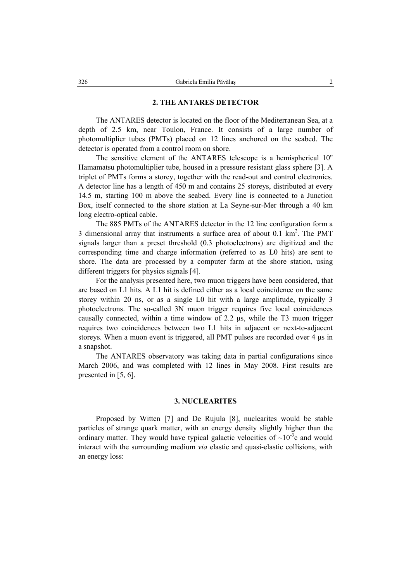### **2. THE ANTARES DETECTOR**

The ANTARES detector is located on the floor of the Mediterranean Sea, at a depth of 2.5 km, near Toulon, France. It consists of a large number of photomultiplier tubes (PMTs) placed on 12 lines anchored on the seabed. The detector is operated from a control room on shore.

The sensitive element of the ANTARES telescope is a hemispherical 10'' Hamamatsu photomultiplier tube, housed in a pressure resistant glass sphere [3]. A triplet of PMTs forms a storey, together with the read-out and control electronics. A detector line has a length of 450 m and contains 25 storeys, distributed at every 14.5 m, starting 100 m above the seabed. Every line is connected to a Junction Box, itself connected to the shore station at La Seyne-sur-Mer through a 40 km long electro-optical cable.

The 885 PMTs of the ANTARES detector in the 12 line configuration form a 3 dimensional array that instruments a surface area of about  $0.1 \text{ km}^2$ . The PMT signals larger than a preset threshold (0.3 photoelectrons) are digitized and the corresponding time and charge information (referred to as L0 hits) are sent to shore. The data are processed by a computer farm at the shore station, using different triggers for physics signals [4].

For the analysis presented here, two muon triggers have been considered, that are based on L1 hits. A L1 hit is defined either as a local coincidence on the same storey within 20 ns, or as a single L0 hit with a large amplitude, typically 3 photoelectrons. The so-called 3N muon trigger requires five local coincidences causally connected, within a time window of 2.2 µs, while the T3 muon trigger requires two coincidences between two L1 hits in adjacent or next-to-adjacent storeys. When a muon event is triggered, all PMT pulses are recorded over 4 µs in a snapshot.

The ANTARES observatory was taking data in partial configurations since March 2006, and was completed with 12 lines in May 2008. First results are presented in [5, 6].

#### **3. NUCLEARITES**

Proposed by Witten [7] and De Rujula [8], nuclearites would be stable particles of strange quark matter, with an energy density slightly higher than the ordinary matter. They would have typical galactic velocities of  $\sim 10^{-3}$ c and would interact with the surrounding medium *via* elastic and quasi-elastic collisions, with an energy loss: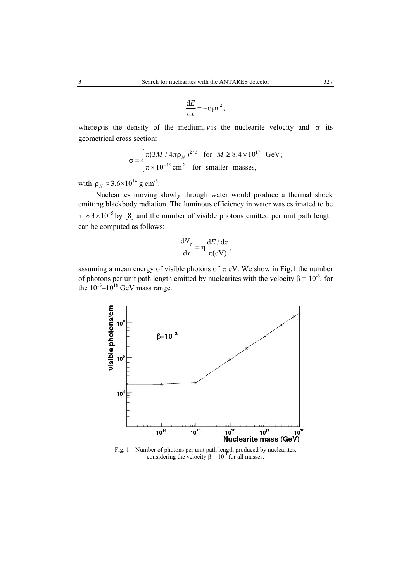$$
\frac{\mathrm{d}E}{\mathrm{d}x} = -\sigma \rho v^2,
$$

where *p* is the density of the medium, *v* is the nuclearite velocity and  $\sigma$  its geometrical cross section:

$$
\sigma = \begin{cases} \pi (3M / 4\pi \rho_N)^{2/3} & \text{for } M \ge 8.4 \times 10^{17} \text{ GeV}; \\ \pi \times 10^{-16} \text{ cm}^2 & \text{for smaller masses}, \end{cases}
$$

with  $\rho_N \approx 3.6 \times 10^{14}$  g⋅cm<sup>-3</sup>.

Nuclearites moving slowly through water would produce a thermal shock emitting blackbody radiation. The luminous efficiency in water was estimated to be  $\eta \approx 3 \times 10^{-5}$  by [8] and the number of visible photons emitted per unit path length can be computed as follows:

$$
\frac{dN_{\gamma}}{dx} = \eta \frac{dE/dx}{\pi(eV)},
$$

assuming a mean energy of visible photons of  $\pi$  eV. We show in Fig.1 the number of photons per unit path length emitted by nuclearites with the velocity  $\beta = 10^{-3}$ , for the  $10^{13}$ – $10^{18}$  GeV mass range.



Fig. 1 – Number of photons per unit path length produced by nuclearites, considering the velocity  $\beta = 10^{-3}$  for all masses.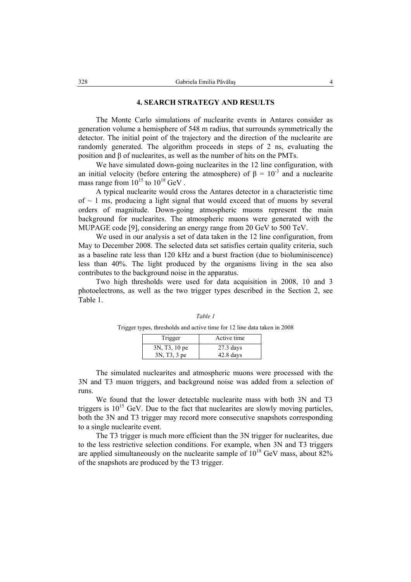## **4. SEARCH STRATEGY AND RESULTS**

The Monte Carlo simulations of nuclearite events in Antares consider as generation volume a hemisphere of 548 m radius, that surrounds symmetrically the detector. The initial point of the trajectory and the direction of the nuclearite are randomly generated. The algorithm proceeds in steps of 2 ns, evaluating the position and β of nuclearites, as well as the number of hits on the PMTs.

We have simulated down-going nuclearites in the 12 line configuration, with an initial velocity (before entering the atmosphere) of  $\beta = 10^{-3}$  and a nuclearite mass range from  $10^{15}$  to  $10^{18}$  GeV.

A typical nuclearite would cross the Antares detector in a characteristic time of  $\sim$  1 ms, producing a light signal that would exceed that of muons by several orders of magnitude. Down-going atmospheric muons represent the main background for nuclearites. The atmospheric muons were generated with the MUPAGE code [9], considering an energy range from 20 GeV to 500 TeV.

We used in our analysis a set of data taken in the 12 line configuration, from May to December 2008. The selected data set satisfies certain quality criteria, such as a baseline rate less than 120 kHz and a burst fraction (due to bioluminiscence) less than 40%. The light produced by the organisms living in the sea also contributes to the background noise in the apparatus.

Two high thresholds were used for data acquisition in 2008, 10 and 3 photoelectrons, as well as the two trigger types described in the Section 2, see Table 1.

| - - |                            |             |
|-----|----------------------------|-------------|
|     | Trigger                    | Active time |
|     | 3N, T <sub>3</sub> , 10 pe | $27.3$ days |
|     | 3N, T3, 3 pe               | $42.8$ days |

*Table 1*  Trigger types, thresholds and active time for 12 line data taken in 2008

The simulated nuclearites and atmospheric muons were processed with the 3N and T3 muon triggers, and background noise was added from a selection of runs.

We found that the lower detectable nuclearite mass with both 3N and T3 triggers is  $10^{15}$  GeV. Due to the fact that nuclearites are slowly moving particles, both the 3N and T3 trigger may record more consecutive snapshots corresponding to a single nuclearite event.

The T3 trigger is much more efficient than the 3N trigger for nuclearites, due to the less restrictive selection conditions. For example, when 3N and T3 triggers are applied simultaneously on the nuclearite sample of  $10^{18}$  GeV mass, about 82% of the snapshots are produced by the T3 trigger.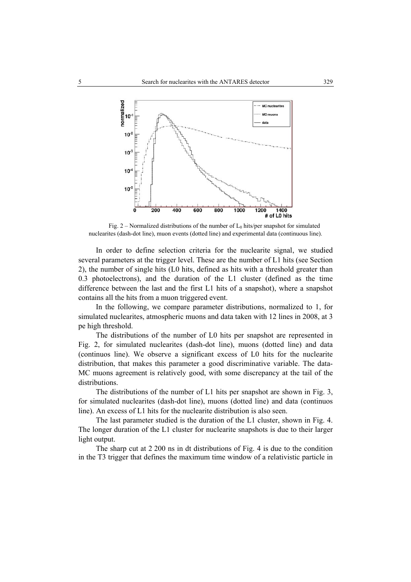

Fig. 2 – Normalized distributions of the number of  $L_0$  hits/per snapshot for simulated nuclearites (dash-dot line), muon events (dotted line) and experimental data (continuous line).

In order to define selection criteria for the nuclearite signal, we studied several parameters at the trigger level. These are the number of L1 hits (see Section 2), the number of single hits (L0 hits, defined as hits with a threshold greater than 0.3 photoelectrons), and the duration of the L1 cluster (defined as the time difference between the last and the first L1 hits of a snapshot), where a snapshot contains all the hits from a muon triggered event.

In the following, we compare parameter distributions, normalized to 1, for simulated nuclearites, atmospheric muons and data taken with 12 lines in 2008, at 3 pe high threshold.

The distributions of the number of L0 hits per snapshot are represented in Fig. 2, for simulated nuclearites (dash-dot line), muons (dotted line) and data (continuos line). We observe a significant excess of L0 hits for the nuclearite distribution, that makes this parameter a good discriminative variable. The data-MC muons agreement is relatively good, with some discrepancy at the tail of the distributions.

The distributions of the number of L1 hits per snapshot are shown in Fig. 3, for simulated nuclearites (dash-dot line), muons (dotted line) and data (continuos line). An excess of L1 hits for the nuclearite distribution is also seen.

The last parameter studied is the duration of the L1 cluster, shown in Fig. 4. The longer duration of the L1 cluster for nuclearite snapshots is due to their larger light output.

The sharp cut at 2 200 ns in dt distributions of Fig. 4 is due to the condition in the T3 trigger that defines the maximum time window of a relativistic particle in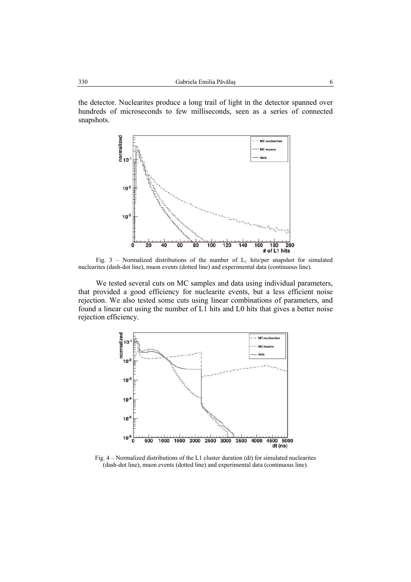the detector. Nuclearites produce a long trail of light in the detector spanned over hundreds of microseconds to few milliseconds, seen as a series of connected snapshots.



Fig. 3 – Normalized distributions of the number of  $L_1$  hits/per snapshot for simulated nuclearites (dash-dot line), muon events (dotted line) and experimental data (continuous line).

We tested several cuts on MC samples and data using individual parameters, that provided a good efficiency for nuclearite events, but a less efficient noise rejection. We also tested some cuts using linear combinations of parameters, and found a linear cut using the number of L1 hits and L0 hits that gives a better noise rejection efficiency.



Fig. 4 – Normalized distributions of the L1 cluster duration (d*t*) for simulated nuclearites (dash-dot line), muon events (dotted line) and experimental data (continuous line).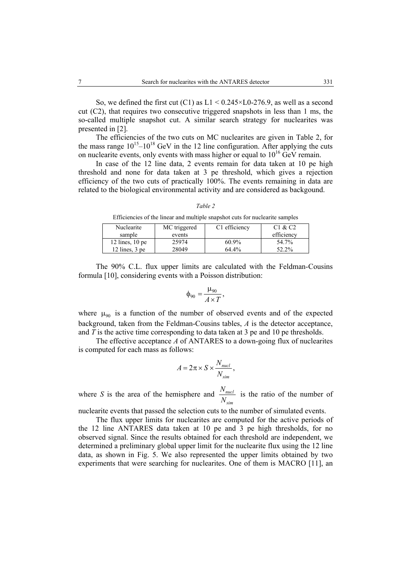So, we defined the first cut (C1) as  $L1 < 0.245 \times L0-276.9$ , as well as a second cut (C2), that requires two consecutive triggered snapshots in less than 1 ms, the so-called multiple snapshot cut. A similar search strategy for nuclearites was presented in [2].

The efficiencies of the two cuts on MC nuclearites are given in Table 2, for the mass range  $10^{15}$ – $10^{18}$  GeV in the 12 line configuration. After applying the cuts on nuclearite events, only events with mass higher or equal to  $10^{16}$  GeV remain.

In case of the 12 line data, 2 events remain for data taken at 10 pe high threshold and none for data taken at 3 pe threshold, which gives a rejection efficiency of the two cuts of practically 100%. The events remaining in data are related to the biological environmental activity and are considered as backgound.

| anı |  |
|-----|--|
|     |  |

Efficiencies of the linear and multiple snapshot cuts for nuclearite samples

| Nuclearite        | MC triggered | C1 efficiency | C1 & C2    |
|-------------------|--------------|---------------|------------|
| sample            | events       |               | efficiency |
| 12 lines, $10$ pe | 25974        | $60.9\%$      | 54.7%      |
| 12 lines, $3$ pe  | 28049        | 64.4%         | 52.2%      |

The 90% C.L. flux upper limits are calculated with the Feldman-Cousins formula [10], considering events with a Poisson distribution:

$$
\phi_{90} = \frac{\mu_{90}}{A \times T},
$$

where  $\mu_{90}$  is a function of the number of observed events and of the expected background, taken from the Feldman-Cousins tables, *A* is the detector acceptance, and *T* is the active time corresponding to data taken at 3 pe and 10 pe thresholds.

The effective acceptance *A* of ANTARES to a down-going flux of nuclearites is computed for each mass as follows:

$$
A = 2\pi \times S \times \frac{N_{nucl}}{N_{sim}},
$$

where *S* is the area of the hemisphere and  $\frac{N_{nucl}}{N_{mincl}}$ *sim N N* is the ratio of the number of

nuclearite events that passed the selection cuts to the number of simulated events.

The flux upper limits for nuclearites are computed for the active periods of the 12 line ANTARES data taken at 10 pe and 3 pe high thresholds, for no observed signal. Since the results obtained for each threshold are independent, we determined a preliminary global upper limit for the nuclearite flux using the 12 line data, as shown in Fig. 5. We also represented the upper limits obtained by two experiments that were searching for nuclearites. One of them is MACRO [11], an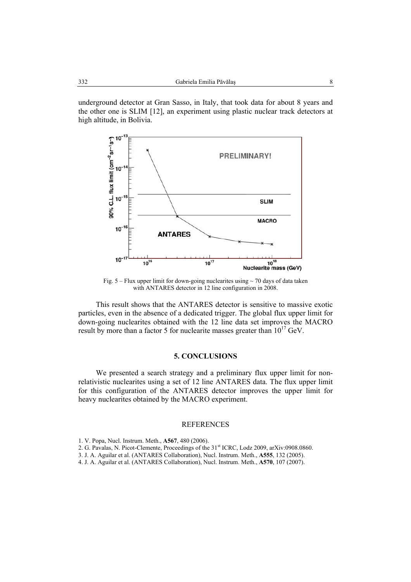underground detector at Gran Sasso, in Italy, that took data for about 8 years and the other one is SLIM [12], an experiment using plastic nuclear track detectors at high altitude, in Bolivia.



Fig.  $5 -$  Flux upper limit for down-going nuclearites using  $\sim$  70 days of data taken with ANTARES detector in 12 line configuration in 2008.

This result shows that the ANTARES detector is sensitive to massive exotic particles, even in the absence of a dedicated trigger. The global flux upper limit for down-going nuclearites obtained with the 12 line data set improves the MACRO result by more than a factor 5 for nuclearite masses greater than  $10^{17}$  GeV.

### **5. CONCLUSIONS**

We presented a search strategy and a preliminary flux upper limit for nonrelativistic nuclearites using a set of 12 line ANTARES data. The flux upper limit for this configuration of the ANTARES detector improves the upper limit for heavy nuclearites obtained by the MACRO experiment.

#### REFERENCES

- 2. G. Pavalas, N. Picot-Clemente, Proceedings of the 31<sup>st</sup> ICRC, Lodz 2009, arXiv:0908.0860.
- 3. J. A. Aguilar et al. (ANTARES Collaboration), Nucl. Instrum. Meth., **A555**, 132 (2005).
- 4. J. A. Aguilar et al. (ANTARES Collaboration), Nucl. Instrum. Meth., **A570**, 107 (2007).

<sup>1.</sup> V. Popa, Nucl. Instrum. Meth., **A567**, 480 (2006).